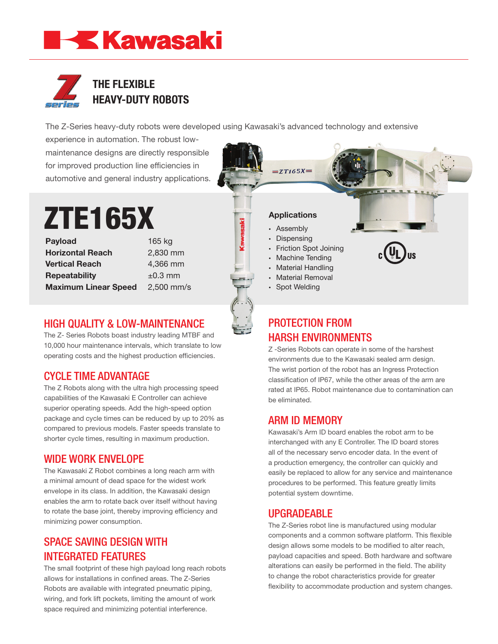## **EKA Kawasaki**



The Z-Series heavy-duty robots were developed using Kawasaki's advanced technology and extensive

experience in automation. The robust lowmaintenance designs are directly responsible for improved production line efficiencies in automotive and general industry applications.

# ZTE165X

Payload 165 kg **Horizontal Reach** 2,830 mm **Vertical Reach** 4,366 mm **Repeatability**  $\pm 0.3$  mm **Maximum Linear Speed** 2,500 mm/s

**Kawasaki** 

#### HIGH QUALITY & LOW-MAINTENANCE

The Z- Series Robots boast industry leading MTBF and 10,000 hour maintenance intervals, which translate to low operating costs and the highest production efficiencies.

#### CYCLE TIME ADVANTAGE

The Z Robots along with the ultra high processing speed capabilities of the Kawasaki E Controller can achieve superior operating speeds. Add the high-speed option package and cycle times can be reduced by up to 20% as compared to previous models. Faster speeds translate to shorter cycle times, resulting in maximum production.

#### WIDE WORK ENVELOPE

The Kawasaki Z Robot combines a long reach arm with a minimal amount of dead space for the widest work envelope in its class. In addition, the Kawasaki design enables the arm to rotate back over itself without having to rotate the base joint, thereby improving efficiency and minimizing power consumption.

#### SPACE SAVING DESIGN WITH INTEGRATED FEATURES

The small footprint of these high payload long reach robots allows for installations in confined areas. The Z-Series Robots are available with integrated pneumatic piping, wiring, and fork lift pockets, limiting the amount of work space required and minimizing potential interference.

#### **Applications**

 $=ZT165X=$ 

- Assembly
- Dispensing
- **Friction Spot Joining**
- **Machine Tending**
- Material Handling • Material Removal
- Spot Welding
- 

### PROTECTION FROM HARSH ENVIRONMENTS

Z -Series Robots can operate in some of the harshest environments due to the Kawasaki sealed arm design. The wrist portion of the robot has an Ingress Protection classification of IP67, while the other areas of the arm are rated at IP65. Robot maintenance due to contamination can be eliminated.

#### ARM ID MEMORY

Kawasaki's Arm ID board enables the robot arm to be interchanged with any E Controller. The ID board stores all of the necessary servo encoder data. In the event of a production emergency, the controller can quickly and easily be replaced to allow for any service and maintenance procedures to be performed. This feature greatly limits potential system downtime.

#### UPGRADEABLE

The Z-Series robot line is manufactured using modular components and a common software platform. This flexible design allows some models to be modified to alter reach, payload capacities and speed. Both hardware and software alterations can easily be performed in the field. The ability to change the robot characteristics provide for greater flexibility to accommodate production and system changes.